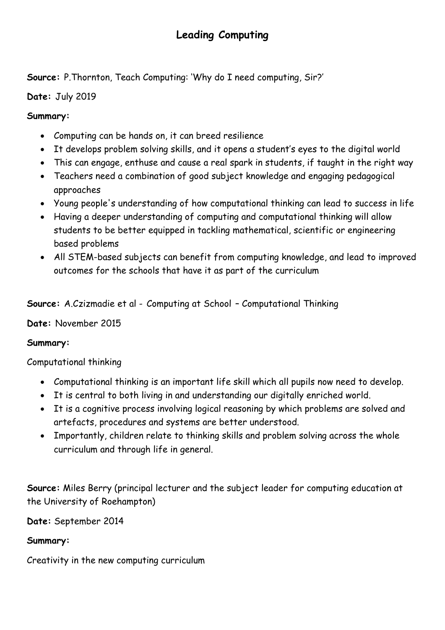# **Leading Computing**

**Source:** P.Thornton, Teach Computing: 'Why do I need computing, Sir?'

**Date:** July 2019

### **Summary:**

- Computing can be hands on, it can breed resilience
- It develops problem solving skills, and it opens a student's eyes to the digital world
- This can engage, enthuse and cause a real spark in students, if taught in the right way
- Teachers need a combination of good subject knowledge and engaging pedagogical approaches
- Young people's understanding of how computational thinking can lead to success in life
- Having a deeper understanding of computing and computational thinking will allow students to be better equipped in tackling mathematical, scientific or engineering based problems
- All STEM-based subjects can benefit from computing knowledge, and lead to improved outcomes for the schools that have it as part of the curriculum

**Source:** A.Czizmadie et al - Computing at School – Computational Thinking

### **Date:** November 2015

### **Summary:**

Computational thinking

- Computational thinking is an important life skill which all pupils now need to develop.
- It is central to both living in and understanding our digitally enriched world.
- It is a cognitive process involving logical reasoning by which problems are solved and artefacts, procedures and systems are better understood.
- Importantly, children relate to thinking skills and problem solving across the whole curriculum and through life in general.

**Source:** Miles Berry (principal lecturer and the subject leader for computing education at the University of Roehampton)

**Date:** September 2014

### **Summary:**

Creativity in the new computing curriculum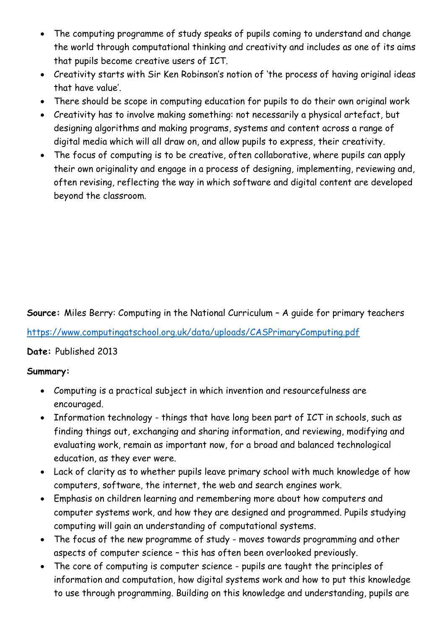- The computing programme of study speaks of pupils coming to understand and change the world through computational thinking and creativity and includes as one of its aims that pupils become creative users of ICT.
- Creativity starts with Sir Ken Robinson's notion of 'the process of having original ideas that have value'.
- There should be scope in computing education for pupils to do their own original work
- Creativity has to involve making something: not necessarily a physical artefact, but designing algorithms and making programs, systems and content across a range of digital media which will all draw on, and allow pupils to express, their creativity.
- The focus of computing is to be creative, often collaborative, where pupils can apply their own originality and engage in a process of designing, implementing, reviewing and, often revising, reflecting the way in which software and digital content are developed beyond the classroom.

## **Source:** Miles Berry: Computing in the National Curriculum – A guide for primary teachers

<https://www.computingatschool.org.uk/data/uploads/CASPrimaryComputing.pdf>

### **Date:** Published 2013

### **Summary:**

- Computing is a practical subject in which invention and resourcefulness are encouraged.
- Information technology things that have long been part of ICT in schools, such as finding things out, exchanging and sharing information, and reviewing, modifying and evaluating work, remain as important now, for a broad and balanced technological education, as they ever were.
- Lack of clarity as to whether pupils leave primary school with much knowledge of how computers, software, the internet, the web and search engines work.
- Emphasis on children learning and remembering more about how computers and computer systems work, and how they are designed and programmed. Pupils studying computing will gain an understanding of computational systems.
- The focus of the new programme of study moves towards programming and other aspects of computer science – this has often been overlooked previously.
- The core of computing is computer science pupils are taught the principles of information and computation, how digital systems work and how to put this knowledge to use through programming. Building on this knowledge and understanding, pupils are